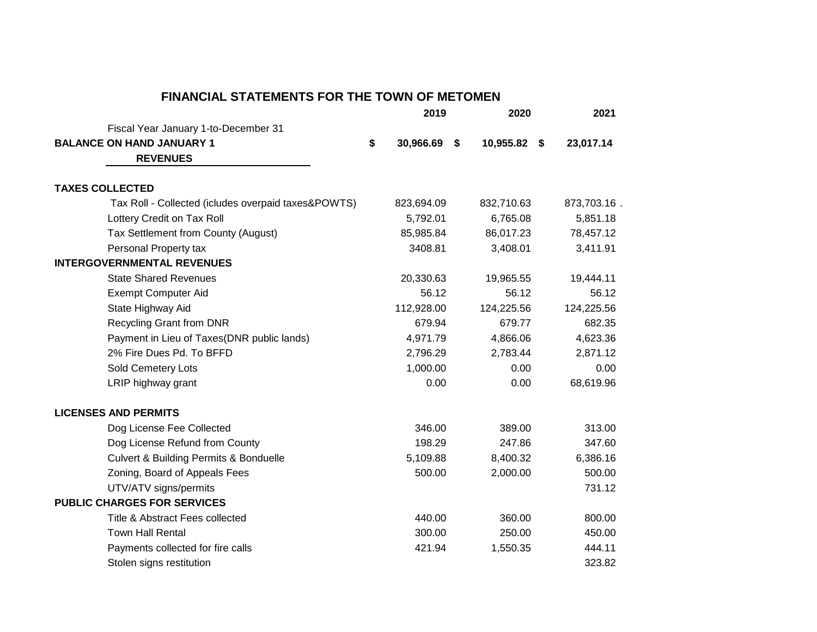## **FINANCIAL STATEMENTS FOR THE TOWN OF METOMEN**

|                                                       | 2019            | 2020               | 2021        |
|-------------------------------------------------------|-----------------|--------------------|-------------|
| Fiscal Year January 1-to-December 31                  |                 |                    |             |
| <b>BALANCE ON HAND JANUARY 1</b>                      | \$<br>30,966.69 | \$<br>10,955.82 \$ | 23,017.14   |
| <b>REVENUES</b>                                       |                 |                    |             |
| <b>TAXES COLLECTED</b>                                |                 |                    |             |
| Tax Roll - Collected (icludes overpaid taxes&POWTS)   | 823,694.09      | 832,710.63         | 873,703.16. |
| Lottery Credit on Tax Roll                            | 5,792.01        | 6,765.08           | 5,851.18    |
| Tax Settlement from County (August)                   | 85,985.84       | 86,017.23          | 78,457.12   |
| Personal Property tax                                 | 3408.81         | 3,408.01           | 3,411.91    |
| <b>INTERGOVERNMENTAL REVENUES</b>                     |                 |                    |             |
| <b>State Shared Revenues</b>                          | 20,330.63       | 19,965.55          | 19,444.11   |
| <b>Exempt Computer Aid</b>                            | 56.12           | 56.12              | 56.12       |
| State Highway Aid                                     | 112,928.00      | 124,225.56         | 124,225.56  |
| <b>Recycling Grant from DNR</b>                       | 679.94          | 679.77             | 682.35      |
| Payment in Lieu of Taxes(DNR public lands)            | 4,971.79        | 4,866.06           | 4,623.36    |
| 2% Fire Dues Pd. To BFFD                              | 2,796.29        | 2,783.44           | 2,871.12    |
| Sold Cemetery Lots                                    | 1,000.00        | 0.00               | 0.00        |
| LRIP highway grant                                    | 0.00            | 0.00               | 68,619.96   |
| <b>LICENSES AND PERMITS</b>                           |                 |                    |             |
| Dog License Fee Collected                             | 346.00          | 389.00             | 313.00      |
| Dog License Refund from County                        | 198.29          | 247.86             | 347.60      |
| <b>Culvert &amp; Building Permits &amp; Bonduelle</b> | 5,109.88        | 8,400.32           | 6,386.16    |
| Zoning, Board of Appeals Fees                         | 500.00          | 2,000.00           | 500.00      |
| UTV/ATV signs/permits                                 |                 |                    | 731.12      |
| <b>PUBLIC CHARGES FOR SERVICES</b>                    |                 |                    |             |
| Title & Abstract Fees collected                       | 440.00          | 360.00             | 800.00      |
| <b>Town Hall Rental</b>                               | 300.00          | 250.00             | 450.00      |
| Payments collected for fire calls                     | 421.94          | 1,550.35           | 444.11      |
| Stolen signs restitution                              |                 |                    | 323.82      |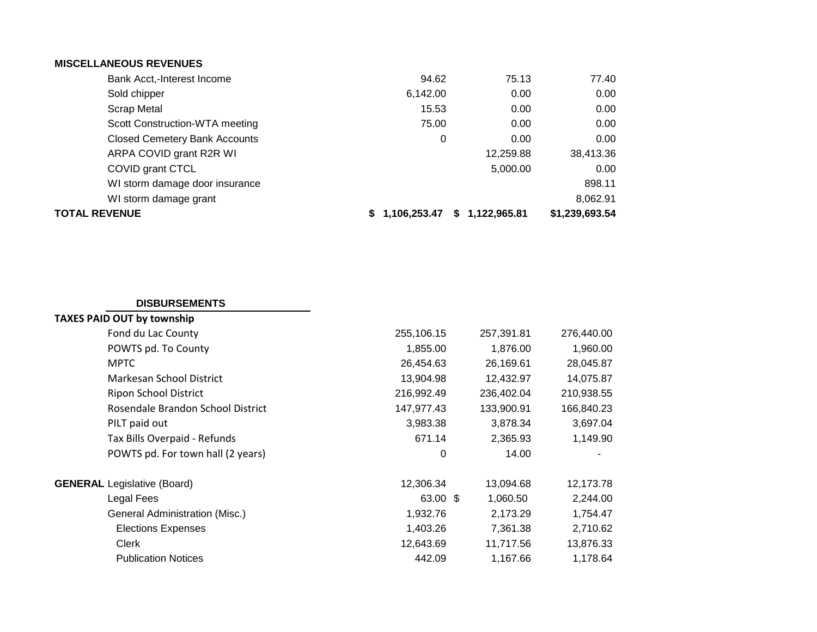## **MISCELLANEOUS REVENUES**

| <b>Closed Cemetery Bank Accounts</b> | 0              | 0.00               | 0.00           |
|--------------------------------------|----------------|--------------------|----------------|
| ARPA COVID grant R2R WI              |                | 12,259.88          | 38,413.36      |
| COVID grant CTCL                     |                | 5,000.00           | 0.00           |
| WI storm damage door insurance       |                |                    | 898.11         |
| WI storm damage grant                |                |                    | 8,062.91       |
| TOTAL REVENUE                        | \$1,106,253.47 | 1,122,965.81<br>S. | \$1,239,693.54 |

## **DISBURSEMENTS**

| 255,106.15 | 257,391.81 | 276,440.00 |
|------------|------------|------------|
| 1,855.00   | 1,876.00   | 1,960.00   |
| 26,454.63  | 26,169.61  | 28,045.87  |
| 13,904.98  | 12,432.97  | 14,075.87  |
| 216,992.49 | 236,402.04 | 210,938.55 |
| 147,977.43 | 133,900.91 | 166,840.23 |
| 3,983.38   | 3,878.34   | 3,697.04   |
| 671.14     | 2,365.93   | 1,149.90   |
| 0          | 14.00      | ۰          |
| 12,306.34  | 13,094.68  | 12,173.78  |
|            | 1,060.50   | 2,244.00   |
| 1,932.76   | 2,173.29   | 1,754.47   |
| 1,403.26   | 7,361.38   | 2,710.62   |
| 12,643.69  | 11,717.56  | 13,876.33  |
| 442.09     | 1,167.66   | 1,178.64   |
|            |            | 63.00 \$   |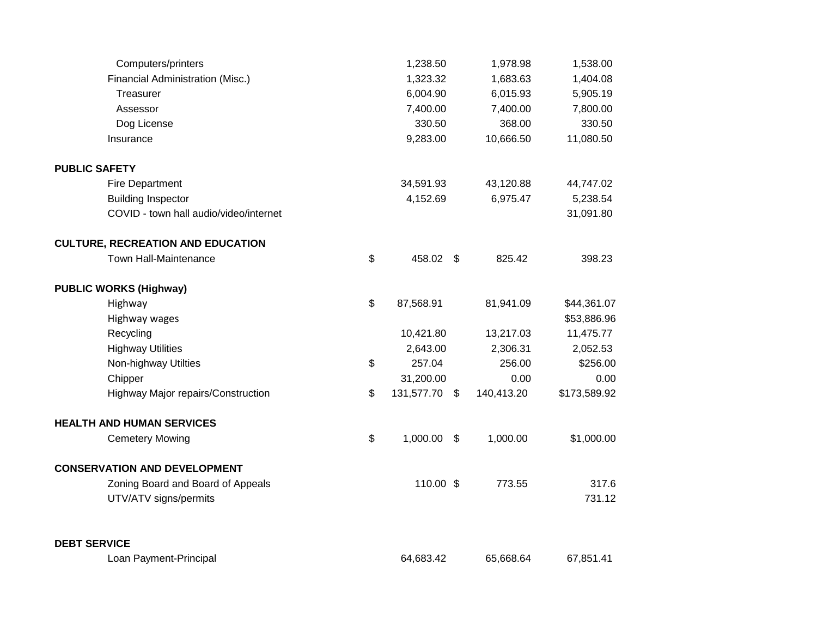| Computers/printers                       | 1,238.50            |                | 1,978.98   | 1,538.00     |
|------------------------------------------|---------------------|----------------|------------|--------------|
| Financial Administration (Misc.)         | 1,323.32            |                | 1,683.63   | 1,404.08     |
| Treasurer                                | 6,004.90            |                | 6,015.93   | 5,905.19     |
| Assessor                                 | 7,400.00            |                | 7,400.00   | 7,800.00     |
| Dog License                              | 330.50              |                | 368.00     | 330.50       |
| Insurance                                | 9,283.00            |                | 10,666.50  | 11,080.50    |
| <b>PUBLIC SAFETY</b>                     |                     |                |            |              |
| Fire Department                          | 34,591.93           |                | 43,120.88  | 44,747.02    |
| <b>Building Inspector</b>                | 4,152.69            |                | 6,975.47   | 5,238.54     |
| COVID - town hall audio/video/internet   |                     |                |            | 31,091.80    |
| <b>CULTURE, RECREATION AND EDUCATION</b> |                     |                |            |              |
| Town Hall-Maintenance                    | \$<br>458.02 \$     |                | 825.42     | 398.23       |
| <b>PUBLIC WORKS (Highway)</b>            |                     |                |            |              |
| Highway                                  | \$<br>87,568.91     |                | 81,941.09  | \$44,361.07  |
| Highway wages                            |                     |                |            | \$53,886.96  |
| Recycling                                | 10,421.80           |                | 13,217.03  | 11,475.77    |
| <b>Highway Utilities</b>                 | 2,643.00            |                | 2,306.31   | 2,052.53     |
| Non-highway Utilties                     | \$<br>257.04        |                | 256.00     | \$256.00     |
| Chipper                                  | 31,200.00           |                | 0.00       | 0.00         |
| Highway Major repairs/Construction       | \$<br>131,577.70 \$ |                | 140,413.20 | \$173,589.92 |
| <b>HEALTH AND HUMAN SERVICES</b>         |                     |                |            |              |
| <b>Cemetery Mowing</b>                   | \$<br>1,000.00      | $\mathfrak{F}$ | 1,000.00   | \$1,000.00   |
| <b>CONSERVATION AND DEVELOPMENT</b>      |                     |                |            |              |
| Zoning Board and Board of Appeals        | 110.00 \$           |                | 773.55     | 317.6        |
| UTV/ATV signs/permits                    |                     |                |            | 731.12       |
| <b>DEBT SERVICE</b>                      |                     |                |            |              |
| Loan Payment-Principal                   | 64,683.42           |                | 65,668.64  | 67,851.41    |
|                                          |                     |                |            |              |